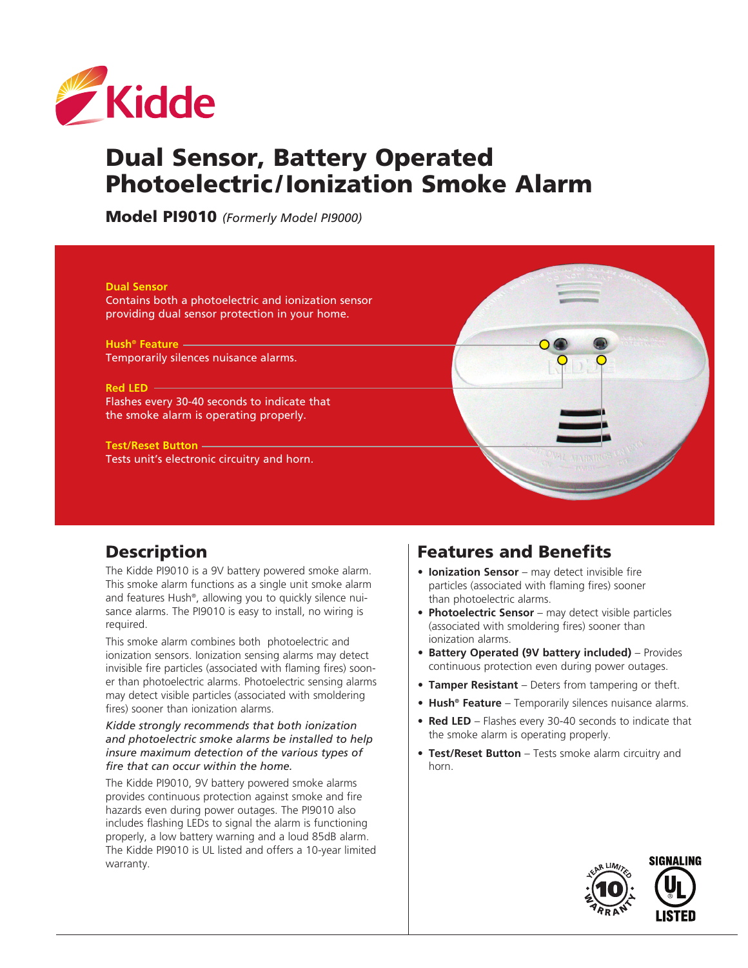

# Dual Sensor, Battery Operated Photoelectric /Ionization Smoke Alarm

Model PI9010 *(Formerly Model PI9000)*



# **Description**

The Kidde PI9010 is a 9V battery powered smoke alarm. This smoke alarm functions as a single unit smoke alarm and features Hush®, allowing you to quickly silence nuisance alarms. The PI9010 is easy to install, no wiring is required.

This smoke alarm combines both photoelectric and ionization sensors. Ionization sensing alarms may detect invisible fire particles (associated with flaming fires) sooner than photoelectric alarms. Photoelectric sensing alarms may detect visible particles (associated with smoldering fires) sooner than ionization alarms.

*Kidde strongly recommends that both ionization and photoelectric smoke alarms be installed to help insure maximum detection of the various types of fire that can occur within the home.*

The Kidde PI9010, 9V battery powered smoke alarms provides continuous protection against smoke and fire hazards even during power outages. The PI9010 also includes flashing LEDs to signal the alarm is functioning properly, a low battery warning and a loud 85dB alarm. The Kidde PI9010 is UL listed and offers a 10-year limited warranty.

# Features and Benefits

- **• Ionization Sensor** may detect invisible fire particles (associated with flaming fires) sooner than photoelectric alarms.
- **• Photoelectric Sensor** may detect visible particles (associated with smoldering fires) sooner than ionization alarms.
- **• Battery Operated (9V battery included)** Provides continuous protection even during power outages.
- **• Tamper Resistant** Deters from tampering or theft.
- **• Hush® Feature** Temporarily silences nuisance alarms.
- **• Red LED** Flashes every 30-40 seconds to indicate that the smoke alarm is operating properly.
- **• Test/Reset Button** Tests smoke alarm circuitry and horn.